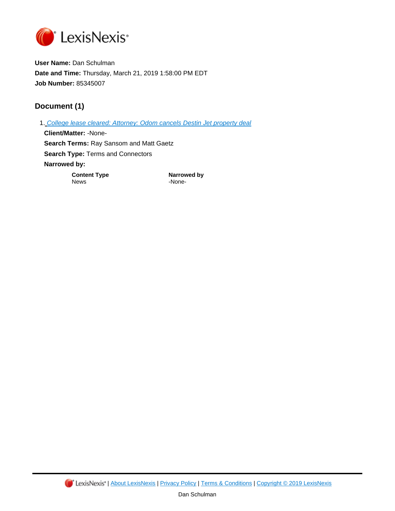

**User Name:** Dan Schulman **Date and Time:** Thursday, March 21, 2019 1:58:00 PM EDT **Job Number:** 85345007

## **Document (1)**

1. [College lease cleared: Attorney: Odom cancels Destin Jet property deal](https://advance.lexis.com/api/document?id=urn:contentItem:7VVC-MTC0-Y9J0-Y4VG-00000-00&idtype=PID&context=1519360) **Client/Matter:** -None-**Search Terms:** Ray Sansom and Matt Gaetz **Search Type:** Terms and Connectors **Narrowed by: Content Type**<br>
Narrowed by<br>
News
1992 -None-

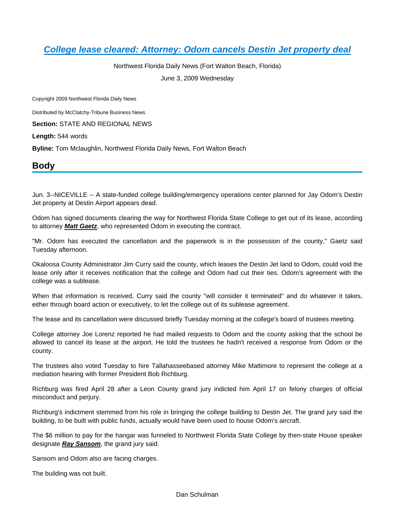# **[College lease cleared: Attorney: Odom cancels Destin Jet property deal](https://advance.lexis.com/api/document?collection=news&id=urn:contentItem:7VVC-MTC0-Y9J0-Y4VG-00000-00&context=)**

Northwest Florida Daily News (Fort Walton Beach, Florida) June 3, 2009 Wednesday

Copyright 2009 Northwest Florida Daily News

Distributed by McClatchy-Tribune Business News

**Section:** STATE AND REGIONAL NEWS

**Length:** 544 words

**Byline:** Tom Mclaughlin, Northwest Florida Daily News, Fort Walton Beach

### **Body**

Jun. 3--NICEVILLE -- A state-funded college building/emergency operations center planned for Jay Odom's Destin Jet property at Destin Airport appears dead.

Odom has signed documents clearing the way for Northwest Florida State College to get out of its lease, according to attorney **Matt Gaetz**, who represented Odom in executing the contract.

"Mr. Odom has executed the cancellation and the paperwork is in the possession of the county," Gaetz said Tuesday afternoon.

Okaloosa County Administrator Jim Curry said the county, which leases the Destin Jet land to Odom, could void the lease only after it receives notification that the college and Odom had cut their ties. Odom's agreement with the college was a sublease.

When that information is received, Curry said the county "will consider it terminated" and do whatever it takes, either through board action or executively, to let the college out of its sublease agreement.

The lease and its cancellation were discussed briefly Tuesday morning at the college's board of trustees meeting.

College attorney Joe Lorenz reported he had mailed requests to Odom and the county asking that the school be allowed to cancel its lease at the airport. He told the trustees he hadn't received a response from Odom or the county.

The trustees also voted Tuesday to hire Tallahasseebased attorney Mike Mattimore to represent the college at a mediation hearing with former President Bob Richburg.

Richburg was fired April 28 after a Leon County grand jury indicted him April 17 on felony charges of official misconduct and perjury.

Richburg's indictment stemmed from his role in bringing the college building to Destin Jet. The grand jury said the building, to be built with public funds, actually would have been used to house Odom's aircraft.

The \$6 million to pay for the hangar was funneled to Northwest Florida State College by then-state House speaker designate **Ray Sansom**, the grand jury said.

Sansom and Odom also are facing charges.

The building was not built.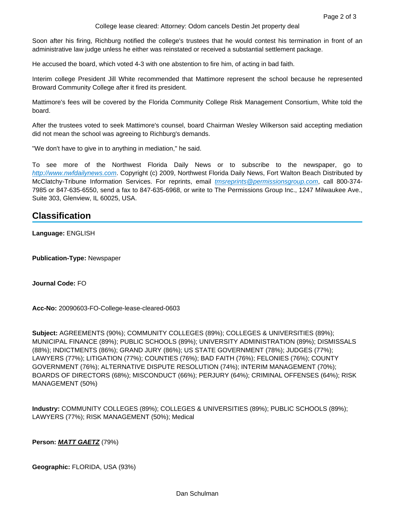Soon after his firing, Richburg notified the college's trustees that he would contest his termination in front of an administrative law judge unless he either was reinstated or received a substantial settlement package.

He accused the board, which voted 4-3 with one abstention to fire him, of acting in bad faith.

Interim college President Jill White recommended that Mattimore represent the school because he represented Broward Community College after it fired its president.

Mattimore's fees will be covered by the Florida Community College Risk Management Consortium, White told the board.

After the trustees voted to seek Mattimore's counsel, board Chairman Wesley Wilkerson said accepting mediation did not mean the school was agreeing to Richburg's demands.

"We don't have to give in to anything in mediation," he said.

To see more of the Northwest Florida Daily News or to subscribe to the newspaper, go to [http://www.nwfdailynews.com](http://www.nwfdailynews.com/). Copyright (c) 2009, Northwest Florida Daily News, Fort Walton Beach Distributed by McClatchy-Tribune Information Services. For reprints, email *[tmsreprints@permissionsgroup.com](mailto:tmsreprints@permissionsgroup.com)*, call 800-374-7985 or 847-635-6550, send a fax to 847-635-6968, or write to The Permissions Group Inc., 1247 Milwaukee Ave., Suite 303, Glenview, IL 60025, USA.

## **Classification**

**Language:** ENGLISH

**Publication-Type:** Newspaper

**Journal Code:** FO

**Acc-No:** 20090603-FO-College-lease-cleared-0603

**Subject:** AGREEMENTS (90%); COMMUNITY COLLEGES (89%); COLLEGES & UNIVERSITIES (89%); MUNICIPAL FINANCE (89%); PUBLIC SCHOOLS (89%); UNIVERSITY ADMINISTRATION (89%); DISMISSALS (88%); INDICTMENTS (86%); GRAND JURY (86%); US STATE GOVERNMENT (78%); JUDGES (77%); LAWYERS (77%); LITIGATION (77%); COUNTIES (76%); BAD FAITH (76%); FELONIES (76%); COUNTY GOVERNMENT (76%); ALTERNATIVE DISPUTE RESOLUTION (74%); INTERIM MANAGEMENT (70%); BOARDS OF DIRECTORS (68%); MISCONDUCT (66%); PERJURY (64%); CRIMINAL OFFENSES (64%); RISK MANAGEMENT (50%)

**Industry:** COMMUNITY COLLEGES (89%); COLLEGES & UNIVERSITIES (89%); PUBLIC SCHOOLS (89%); LAWYERS (77%); RISK MANAGEMENT (50%); Medical

**Person: MATT GAETZ** (79%)

**Geographic:** FLORIDA, USA (93%)